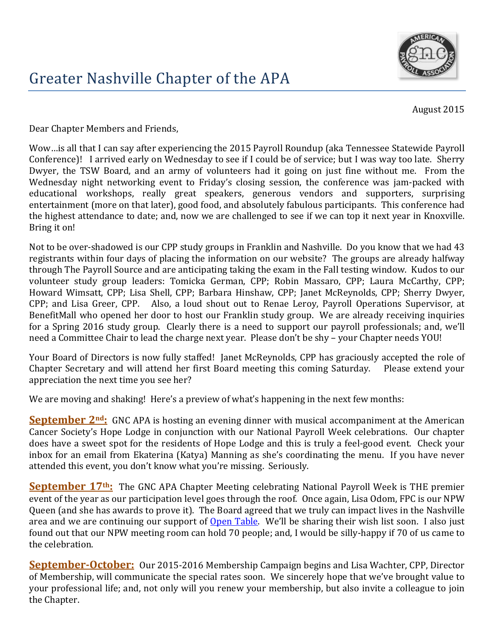August 2015

Dear Chapter Members and Friends,

Wow...is all that I can say after experiencing the 2015 Payroll Roundup (aka Tennessee Statewide Payroll Conference)! I arrived early on Wednesday to see if I could be of service; but I was way too late. Sherry Dwyer, the TSW Board, and an army of volunteers had it going on just fine without me. From the Wednesday night networking event to Friday's closing session, the conference was jam-packed with educational workshops, really great speakers, generous vendors and supporters, surprising entertainment (more on that later), good food, and absolutely fabulous participants. This conference had the highest attendance to date; and, now we are challenged to see if we can top it next year in Knoxville. Bring it on!

Not to be over-shadowed is our CPP study groups in Franklin and Nashville. Do you know that we had 43 registrants within four days of placing the information on our website? The groups are already halfway through The Payroll Source and are anticipating taking the exam in the Fall testing window. Kudos to our volunteer study group leaders: Tomicka German, CPP; Robin Massaro, CPP; Laura McCarthy, CPP; Howard Wimsatt, CPP; Lisa Shell, CPP; Barbara Hinshaw, CPP; Janet McReynolds, CPP; Sherry Dwyer, CPP; and Lisa Greer, CPP. Also, a loud shout out to Renae Leroy, Payroll Operations Supervisor, at BenefitMall who opened her door to host our Franklin study group. We are already receiving inquiries for a Spring 2016 study group. Clearly there is a need to support our payroll professionals; and, we'll need a Committee Chair to lead the charge next year. Please don't be shy - your Chapter needs YOU!

Your Board of Directors is now fully staffed! Janet McReynolds, CPP has graciously accepted the role of Chapter Secretary and will attend her first Board meeting this coming Saturday. Please extend your appreciation the next time you see her?

We are moving and shaking! Here's a preview of what's happening in the next few months:

**September 2<sup>nd</sup>:** GNC APA is hosting an evening dinner with musical accompaniment at the American Cancer Society's Hope Lodge in conjunction with our National Payroll Week celebrations. Our chapter does have a sweet spot for the residents of Hope Lodge and this is truly a feel-good event. Check your inbox for an email from Ekaterina (Katya) Manning as she's coordinating the menu. If you have never attended this event, you don't know what you're missing. Seriously.

**September 17th:** The GNC APA Chapter Meeting celebrating National Payroll Week is THE premier event of the year as our participation level goes through the roof. Once again, Lisa Odom, FPC is our NPW Queen (and she has awards to prove it). The Board agreed that we truly can impact lives in the Nashville area and we are continuing our support of  $Open$  Table. We'll be sharing their wish list soon. I also just found out that our NPW meeting room can hold 70 people; and, I would be silly-happy if 70 of us came to the celebration.

**September-October:** Our 2015-2016 Membership Campaign begins and Lisa Wachter, CPP, Director of Membership, will communicate the special rates soon. We sincerely hope that we've brought value to your professional life; and, not only will you renew your membership, but also invite a colleague to join the Chapter.